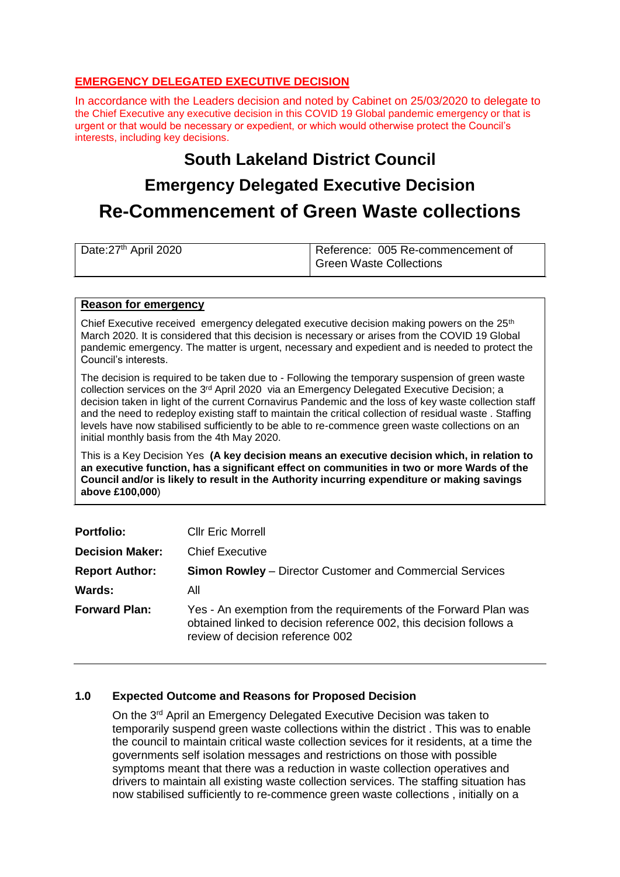# **EMERGENCY DELEGATED EXECUTIVE DECISION**

In accordance with the Leaders decision and noted by Cabinet on 25/03/2020 to delegate to the Chief Executive any executive decision in this COVID 19 Global pandemic emergency or that is urgent or that would be necessary or expedient, or which would otherwise protect the Council's interests, including key decisions.

# **South Lakeland District Council Emergency Delegated Executive Decision Re-Commencement of Green Waste collections**

| Date:27 <sup>th</sup> April 2020 | Reference: 005 Re-commencement of |
|----------------------------------|-----------------------------------|
|                                  | Green Waste Collections           |

#### **Reason for emergency**

Chief Executive received emergency delegated executive decision making powers on the  $25<sup>th</sup>$ March 2020. It is considered that this decision is necessary or arises from the COVID 19 Global pandemic emergency. The matter is urgent, necessary and expedient and is needed to protect the Council's interests.

The decision is required to be taken due to - Following the temporary suspension of green waste collection services on the 3rd April 2020 via an Emergency Delegated Executive Decision; a decision taken in light of the current Cornavirus Pandemic and the loss of key waste collection staff and the need to redeploy existing staff to maintain the critical collection of residual waste . Staffing levels have now stabilised sufficiently to be able to re-commence green waste collections on an initial monthly basis from the 4th May 2020.

This is a Key Decision Yes **(A key decision means an executive decision which, in relation to an executive function, has a significant effect on communities in two or more Wards of the Council and/or is likely to result in the Authority incurring expenditure or making savings above £100,000**)

| <b>Portfolio:</b>      | <b>Cllr Eric Morrell</b>                                                                                                                                                   |
|------------------------|----------------------------------------------------------------------------------------------------------------------------------------------------------------------------|
| <b>Decision Maker:</b> | <b>Chief Executive</b>                                                                                                                                                     |
| <b>Report Author:</b>  | <b>Simon Rowley</b> – Director Customer and Commercial Services                                                                                                            |
| Wards:                 | All                                                                                                                                                                        |
| <b>Forward Plan:</b>   | Yes - An exemption from the requirements of the Forward Plan was<br>obtained linked to decision reference 002, this decision follows a<br>review of decision reference 002 |

# **1.0 Expected Outcome and Reasons for Proposed Decision**

On the 3<sup>rd</sup> April an Emergency Delegated Executive Decision was taken to temporarily suspend green waste collections within the district . This was to enable the council to maintain critical waste collection sevices for it residents, at a time the governments self isolation messages and restrictions on those with possible symptoms meant that there was a reduction in waste collection operatives and drivers to maintain all existing waste collection services. The staffing situation has now stabilised sufficiently to re-commence green waste collections , initially on a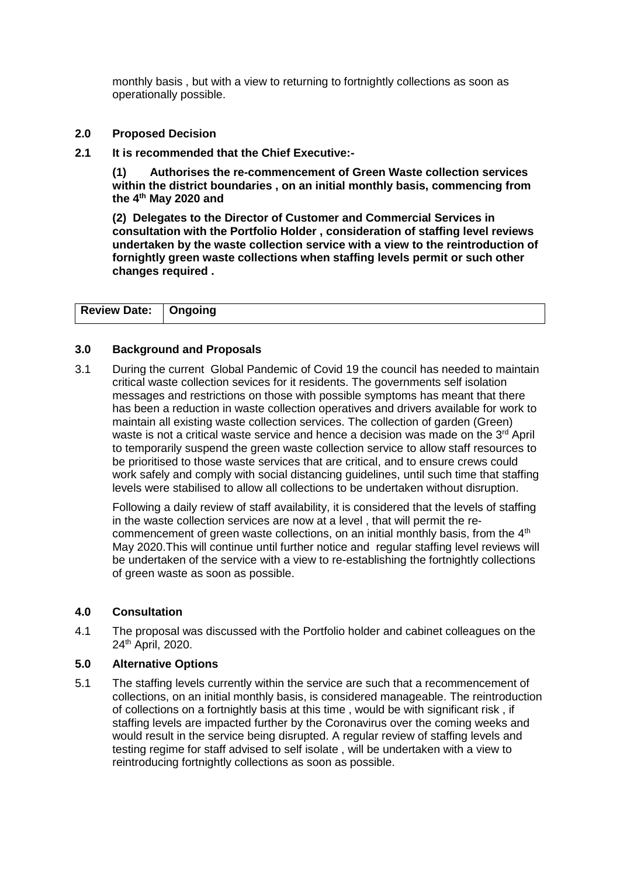monthly basis , but with a view to returning to fortnightly collections as soon as operationally possible.

- **2.0 Proposed Decision**
- **2.1 It is recommended that the Chief Executive:-**

**(1) Authorises the re-commencement of Green Waste collection services within the district boundaries , on an initial monthly basis, commencing from the 4th May 2020 and**

**(2) Delegates to the Director of Customer and Commercial Services in consultation with the Portfolio Holder , consideration of staffing level reviews undertaken by the waste collection service with a view to the reintroduction of fornightly green waste collections when staffing levels permit or such other changes required .** 

| <b>Review Date:   Ongoing</b> |  |
|-------------------------------|--|

# **3.0 Background and Proposals**

3.1 During the current Global Pandemic of Covid 19 the council has needed to maintain critical waste collection sevices for it residents. The governments self isolation messages and restrictions on those with possible symptoms has meant that there has been a reduction in waste collection operatives and drivers available for work to maintain all existing waste collection services. The collection of garden (Green) waste is not a critical waste service and hence a decision was made on the 3<sup>rd</sup> April to temporarily suspend the green waste collection service to allow staff resources to be prioritised to those waste services that are critical, and to ensure crews could work safely and comply with social distancing guidelines, until such time that staffing levels were stabilised to allow all collections to be undertaken without disruption.

Following a daily review of staff availability, it is considered that the levels of staffing in the waste collection services are now at a level , that will permit the recommencement of green waste collections, on an initial monthly basis, from the  $4<sup>th</sup>$ May 2020.This will continue until further notice and regular staffing level reviews will be undertaken of the service with a view to re-establishing the fortnightly collections of green waste as soon as possible.

#### **4.0 Consultation**

4.1 The proposal was discussed with the Portfolio holder and cabinet colleagues on the 24<sup>th</sup> April, 2020.

#### **5.0 Alternative Options**

5.1 The staffing levels currently within the service are such that a recommencement of collections, on an initial monthly basis, is considered manageable. The reintroduction of collections on a fortnightly basis at this time , would be with significant risk , if staffing levels are impacted further by the Coronavirus over the coming weeks and would result in the service being disrupted. A regular review of staffing levels and testing regime for staff advised to self isolate , will be undertaken with a view to reintroducing fortnightly collections as soon as possible.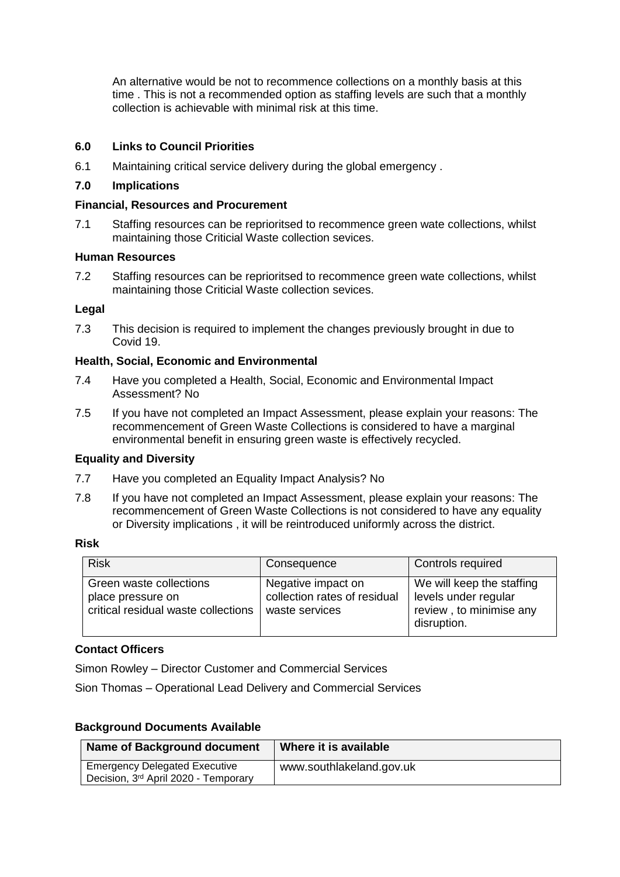An alternative would be not to recommence collections on a monthly basis at this time . This is not a recommended option as staffing levels are such that a monthly collection is achievable with minimal risk at this time.

# **6.0 Links to Council Priorities**

6.1 Maintaining critical service delivery during the global emergency .

# **7.0 Implications**

### **Financial, Resources and Procurement**

7.1 Staffing resources can be reprioritsed to recommence green wate collections, whilst maintaining those Criticial Waste collection sevices.

# **Human Resources**

7.2 Staffing resources can be reprioritsed to recommence green wate collections, whilst maintaining those Criticial Waste collection sevices.

# **Legal**

7.3 This decision is required to implement the changes previously brought in due to Covid 19.

# **Health, Social, Economic and Environmental**

- 7.4 Have you completed a Health, Social, Economic and Environmental Impact Assessment? No
- 7.5 If you have not completed an Impact Assessment, please explain your reasons: The recommencement of Green Waste Collections is considered to have a marginal environmental benefit in ensuring green waste is effectively recycled.

# **Equality and Diversity**

- 7.7 Have you completed an Equality Impact Analysis? No
- 7.8 If you have not completed an Impact Assessment, please explain your reasons: The recommencement of Green Waste Collections is not considered to have any equality or Diversity implications , it will be reintroduced uniformly across the district.

# **Risk**

| <b>Risk</b>                                                                         | Consequence                                                          | Controls required                                                                           |
|-------------------------------------------------------------------------------------|----------------------------------------------------------------------|---------------------------------------------------------------------------------------------|
| Green waste collections<br>place pressure on<br>critical residual waste collections | Negative impact on<br>collection rates of residual<br>waste services | We will keep the staffing<br>levels under regular<br>review, to minimise any<br>disruption. |

# **Contact Officers**

Simon Rowley – Director Customer and Commercial Services

Sion Thomas – Operational Lead Delivery and Commercial Services

# **Background Documents Available**

| <b>Name of Background document</b>   | Where it is available    |
|--------------------------------------|--------------------------|
| <b>Emergency Delegated Executive</b> | www.southlakeland.gov.uk |
| Decision, 3rd April 2020 - Temporary |                          |